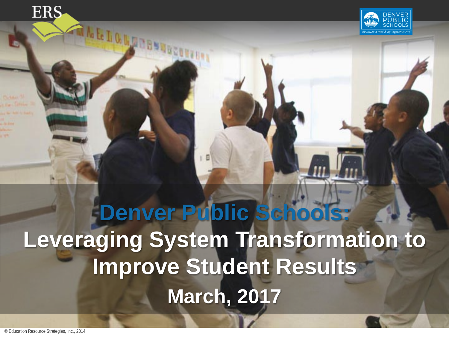**ERS** 

**RIAL LALANDSER** 



# **Denver Public Schools: Leveraging System Transformation to Improve Student Results March, 2017**

© Education Resource Strategies, Inc., 2014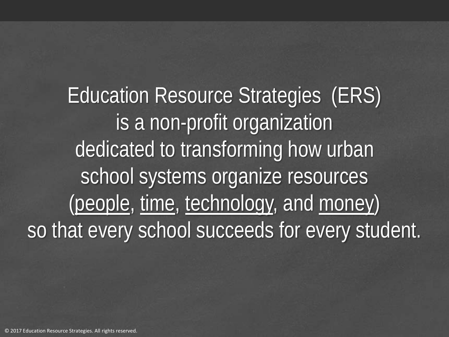Education Resource Strategies (ERS) is a non-profit organization dedicated to transforming how urban school systems organize resources (people, time, technology, and money) so that every school succeeds for every student.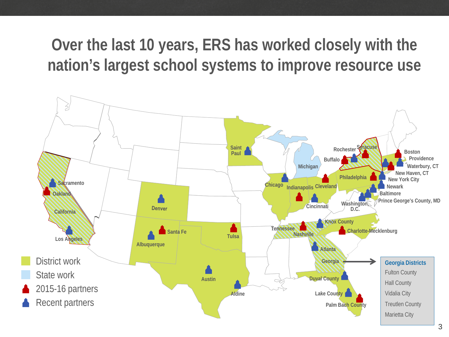**Over the last 10 years, ERS has worked closely with the nation's largest school systems to improve resource use** 

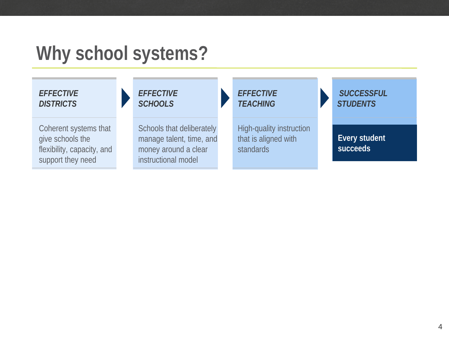# **Why school systems?**



#### *EFFECTIVE SCHOOLS*

Coherent systems that give schools the flexibility, capacity, and support they need

Schools that deliberately manage talent, time, and money around a clear instructional model

#### *EFFECTIVE TEACHING*

High-quality instruction that is aligned with **standards** 

*SUCCESSFUL STUDENTS*

**Every student succeeds**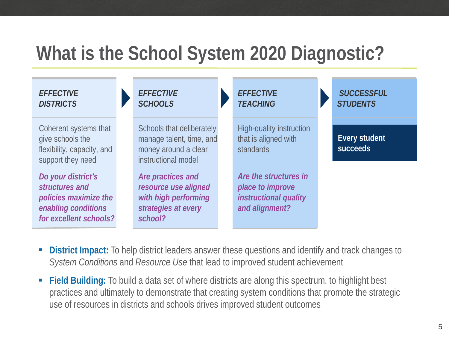# **What is the School System 2020 Diagnostic?**

| <b>EFFECTIVE</b><br><b>DISTRICTS</b>                                                                           | <b>EFFECTIVE</b><br><b>SCHOOLS</b>                                                                   | <b>EFFECTIVE</b><br><b>TEACHING</b>                                                  | <b>SUCCESSFUL</b><br><b>STUDENTS</b> |
|----------------------------------------------------------------------------------------------------------------|------------------------------------------------------------------------------------------------------|--------------------------------------------------------------------------------------|--------------------------------------|
| Coherent systems that<br>give schools the<br>flexibility, capacity, and<br>support they need                   | Schools that deliberately<br>manage talent, time, and<br>money around a clear<br>instructional model | High-quality instruction<br>that is aligned with<br>standards                        | Every student<br>succeeds            |
| Do your district's<br>structures and<br>policies maximize the<br>enabling conditions<br>for excellent schools? | Are practices and<br>resource use aligned<br>with high performing<br>strategies at every<br>school?  | Are the structures in<br>place to improve<br>instructional quality<br>and alignment? |                                      |

- **District Impact:** To help district leaders answer these questions and identify and track changes to *System Conditions* and *Resource Use* that lead to improved student achievement
- **Field Building:** To build a data set of where districts are along this spectrum, to highlight best practices and ultimately to demonstrate that creating system conditions that promote the strategic use of resources in districts and schools drives improved student outcomes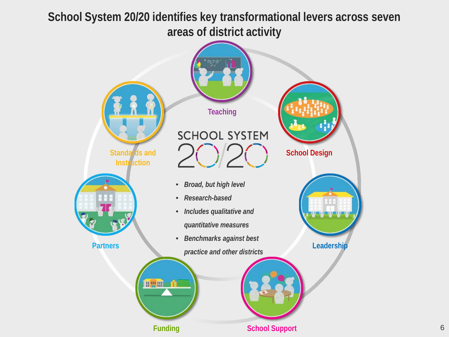**School System 20/20 identifies key transformational levers across seven areas of district activity**

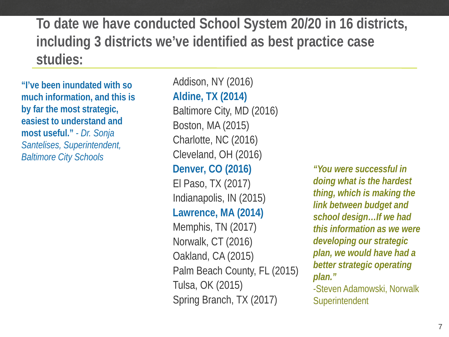**To date we have conducted School System 20/20 in 16 districts, including 3 districts we've identified as best practice case studies:**

**"I've been inundated with so much information, and this is by far the most strategic, easiest to understand and most useful."** *- Dr. Sonja Santelises, Superintendent,*  **Baltimore City Schools** 

Addison, NY (2016) **Aldine, TX (2014)** Baltimore City, MD (2016) Boston, MA (2015) Charlotte, NC (2016) Cleveland, OH (2016) **Denver, CO (2016)** The *above were successful in*  $\blacksquare$ El Paso, TX (2017) Indianapolis, IN (2015) **Lawrence, MA (2014)** Memphis, TN (2017) Norwalk, CT (2016) Oakland, CA (2015) Palm Beach County, FL (2015) Tulsa, OK (2015) Spring Branch, TX (2017)

*doing what is the hardest thing, which is making the link between budget and school design…If we had this information as we were developing our strategic plan, we would have had a better strategic operating plan."* -Steven Adamowski, Norwalk

**Superintendent** 

7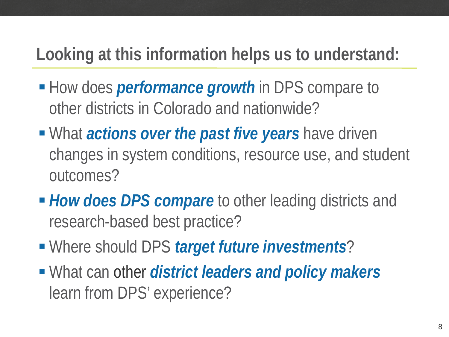## **Looking at this information helps us to understand:**

- **How does** *performance* growth in DPS compare to other districts in Colorado and nationwide?
- **What** *actions over the past five years* **have driven** changes in system conditions, resource use, and student outcomes?
- *How does DPS compare* to other leading districts and research-based best practice?
- Where should DPS *target future investments*?
- What can other *district leaders and policy makers*  learn from DPS' experience?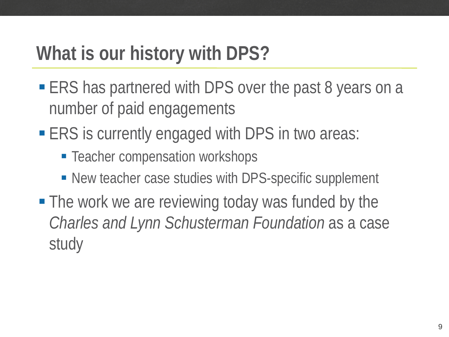# **What is our history with DPS?**

- ERS has partnered with DPS over the past 8 years on a number of paid engagements
- **ERS** is currently engaged with DPS in two areas:
	- **Teacher compensation workshops**
	- New teacher case studies with DPS-specific supplement
- **The work we are reviewing today was funded by the** *Charles and Lynn Schusterman Foundation* as a case study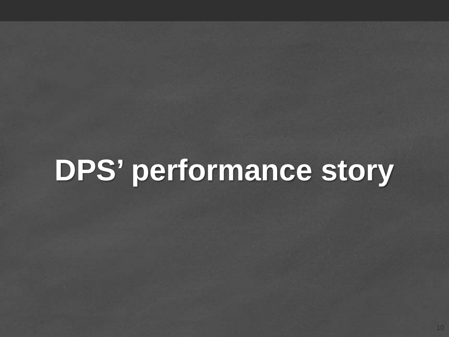# **DPS' performance story**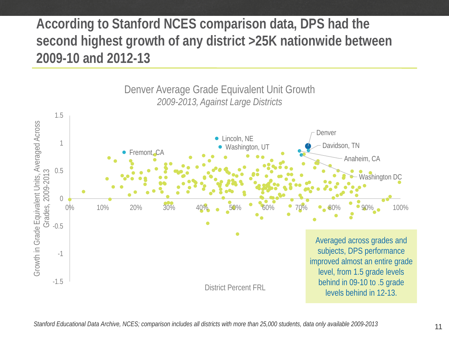#### **According to Stanford NCES comparison data, DPS had the second highest growth of any district >25K nationwide between 2009-10 and 2012-13**

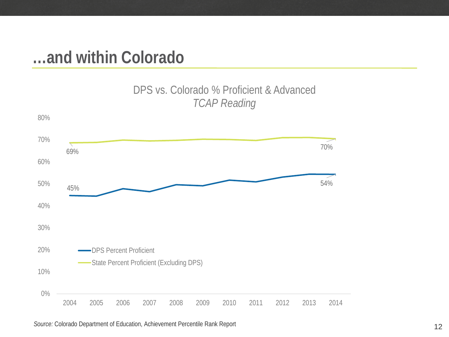### **…and within Colorado**





#### 12 *Source:* Colorado Department of Education, Achievement Percentile Rank Report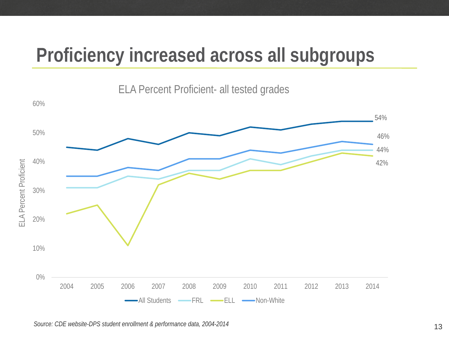# **Proficiency increased across all subgroups**



Source: CDE website-DPS student enrollment & performance data, 2004-2014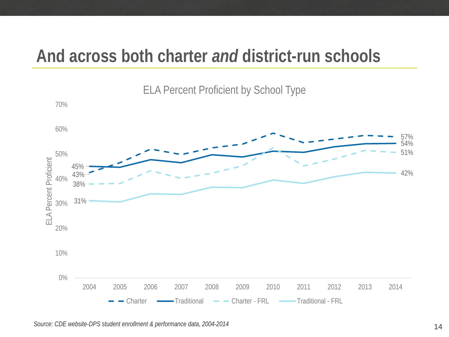### **And across both charter** *and* **district-run schools**



ELA Percent Proficient by School Type

*Source: CDE website-DPS student enrollment & performance data, 2004-2014* 14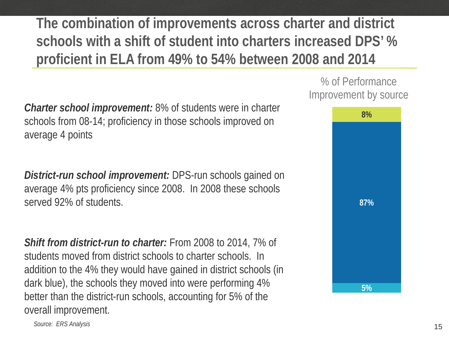**The combination of improvements across charter and district schools with a shift of student into charters increased DPS' % proficient in ELA from 49% to 54% between 2008 and 2014**

*Charter school improvement:* 8% of students were in charter schools from 08-14; proficiency in those schools improved on average 4 points

*District-run school improvement:* DPS-run schools gained on average 4% pts proficiency since 2008. In 2008 these schools served 92% of students.

*Shift from district-run to charter:* From 2008 to 2014, 7% of students moved from district schools to charter schools. In addition to the 4% they would have gained in district schools (in dark blue), the schools they moved into were performing 4% better than the district-run schools, accounting for 5% of the overall improvement.

% of Performance Improvement by source



15 *Source: ERS Analysis*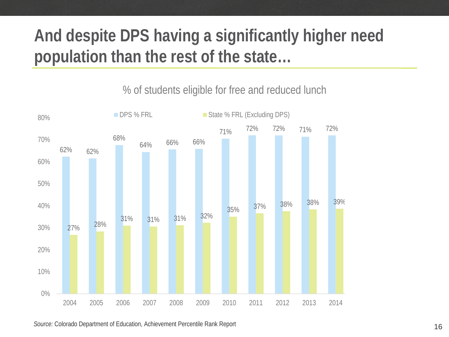# **And despite DPS having a significantly higher need population than the rest of the state…**

62% 62% 68% 64% 66% 66% 71% 72% 72% 71% 72% 70% 68% 27% 28% 31% 31% 31% 32% 35% 37% 38% 38% 39% 38% 39% 0% 10% 20% 30% 40% 50% 60% 70% 80% 2004 2005 2006 2007 2008 2009 2010 2011 2012 2013 2014 2015 2016 DPS % FRL State % FRL (Excluding DPS)

% of students eligible for free and reduced lunch

16 *Source:* Colorado Department of Education, Achievement Percentile Rank Report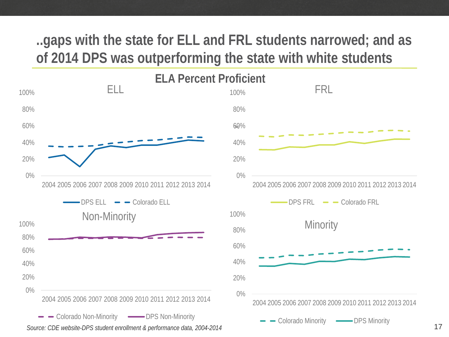#### **..gaps with the state for ELL and FRL students narrowed; and as of 2014 DPS was outperforming the state with white students**



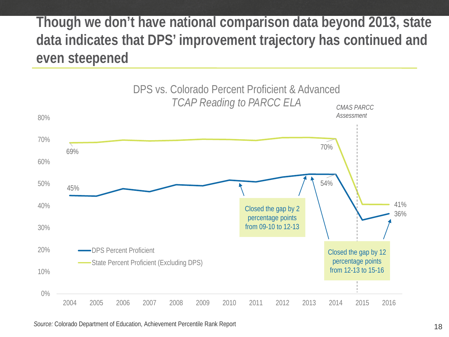#### **Though we don't have national comparison data beyond 2013, state data indicates that DPS' improvement trajectory has continued and even steepened**



18 *Source:* Colorado Department of Education, Achievement Percentile Rank Report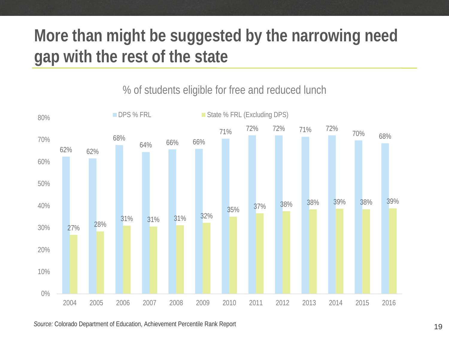# **More than might be suggested by the narrowing need gap with the rest of the state**

#### % of students eligible for free and reduced lunch



19 *Source:* Colorado Department of Education, Achievement Percentile Rank Report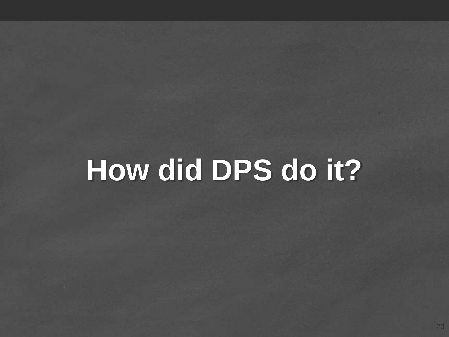# **How did DPS do it?**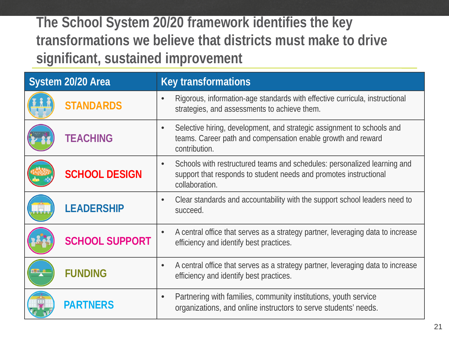**The School System 20/20 framework identifies the key transformations we believe that districts must make to drive significant, sustained improvement**

| System 20/20 Area |                       | <b>Key transformations</b>                                                                                                                                                   |  |  |  |
|-------------------|-----------------------|------------------------------------------------------------------------------------------------------------------------------------------------------------------------------|--|--|--|
|                   | <b>STANDARDS</b>      | Rigorous, information-age standards with effective curricula, instructional<br>strategies, and assessments to achieve them.                                                  |  |  |  |
|                   | <b>TEACHING</b>       | Selective hiring, development, and strategic assignment to schools and<br>$\bullet$<br>teams. Career path and compensation enable growth and reward<br>contribution.         |  |  |  |
|                   | <b>SCHOOL DESIGN</b>  | Schools with restructured teams and schedules: personalized learning and<br>$\bullet$<br>support that responds to student needs and promotes instructional<br>collaboration. |  |  |  |
|                   | <b>LEADERSHIP</b>     | Clear standards and accountability with the support school leaders need to<br>$\bullet$<br>succeed.                                                                          |  |  |  |
|                   | <b>SCHOOL SUPPORT</b> | A central office that serves as a strategy partner, leveraging data to increase<br>$\bullet$<br>efficiency and identify best practices.                                      |  |  |  |
| <b>ISH I</b>      | <b>FUNDING</b>        | A central office that serves as a strategy partner, leveraging data to increase<br>$\bullet$<br>efficiency and identify best practices.                                      |  |  |  |
|                   | <b>PARTNERS</b>       | Partnering with families, community institutions, youth service<br>$\bullet$<br>organizations, and online instructors to serve students' needs.                              |  |  |  |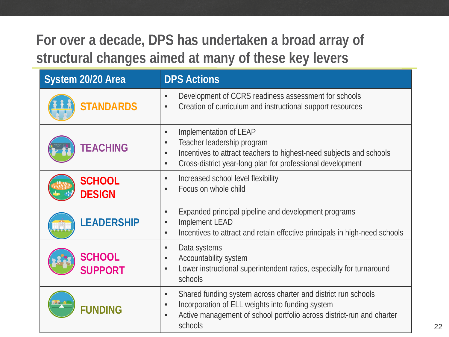### **For over a decade, DPS has undertaken a broad array of structural changes aimed at many of these key levers**

| System 20/20 Area               | <b>DPS Actions</b>                                                                                                                                                                                                                            |  |  |  |
|---------------------------------|-----------------------------------------------------------------------------------------------------------------------------------------------------------------------------------------------------------------------------------------------|--|--|--|
| <b>STANDARDS</b>                | Development of CCRS readiness assessment for schools<br>$\bullet$<br>Creation of curriculum and instructional support resources<br>$\bullet$                                                                                                  |  |  |  |
| <b>TEACHING</b>                 | Implementation of LEAP<br>$\bullet$<br>Teacher leadership program<br>$\bullet$<br>Incentives to attract teachers to highest-need subjects and schools<br>$\bullet$<br>Cross-district year-long plan for professional development<br>$\bullet$ |  |  |  |
| <b>SCHOOL</b><br><b>DESIGN</b>  | Increased school level flexibility<br>$\bullet$<br>Focus on whole child<br>$\bullet$                                                                                                                                                          |  |  |  |
| <b>LEADERSHIP</b>               | Expanded principal pipeline and development programs<br>$\bullet$<br>Implement LEAD<br>$\bullet$<br>Incentives to attract and retain effective principals in high-need schools<br>$\bullet$                                                   |  |  |  |
| <b>SCHOOL</b><br><b>SUPPORT</b> | Data systems<br>$\bullet$<br>Accountability system<br>$\bullet$<br>Lower instructional superintendent ratios, especially for turnaround<br>$\bullet$<br>schools                                                                               |  |  |  |
| <b>FUNDING</b>                  | Shared funding system across charter and district run schools<br>$\bullet$<br>Incorporation of ELL weights into funding system<br>$\bullet$<br>Active management of school portfolio across district-run and charter<br>$\bullet$<br>schools  |  |  |  |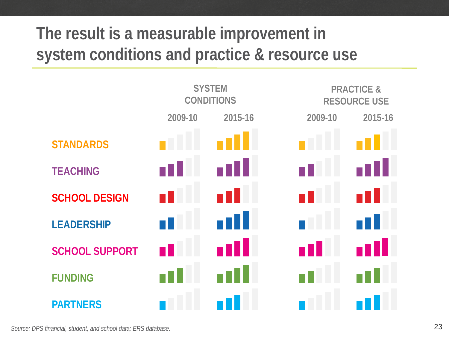# **The result is a measurable improvement in system conditions and practice & resource use**

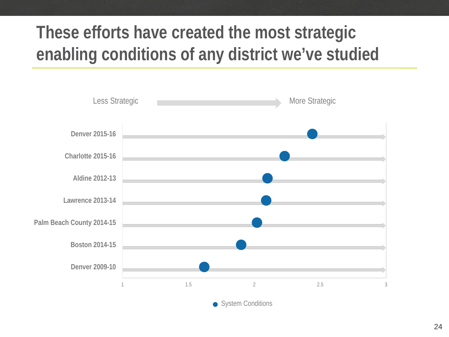# **These efforts have created the most strategic enabling conditions of any district we've studied**

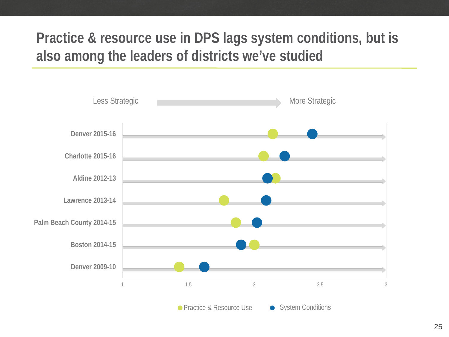### **Practice & resource use in DPS lags system conditions, but is also among the leaders of districts we've studied**

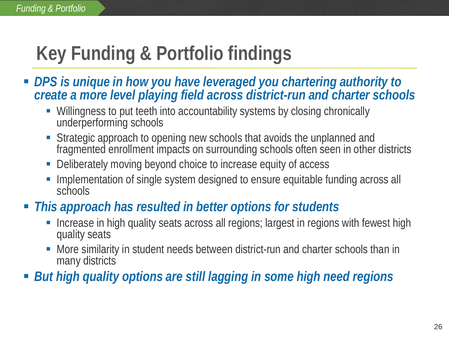# **Key Funding & Portfolio findings**

- **DPS** is unique in how you have leveraged you chartering authority to *create a more level playing field across district-run and charter schools*
	- Willingness to put teeth into accountability systems by closing chronically underperforming schools
	- Strategic approach to opening new schools that avoids the unplanned and fragmented enrollment impacts on surrounding schools often seen in other districts
	- Deliberately moving beyond choice to increase equity of access
	- Implementation of single system designed to ensure equitable funding across all schools
- *This approach has resulted in better options for students*
	- Increase in high quality seats across all regions; largest in regions with fewest high quality seats
	- More similarity in student needs between district-run and charter schools than in many districts
- *But high quality options are still lagging in some high need regions*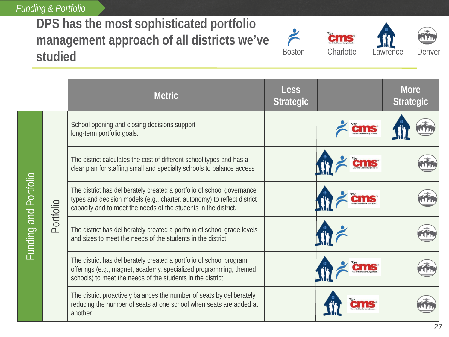*Funding & Portfolio*

#### **DPS has the most sophisticated portfolio management approach of all districts we've studied**







**Metric # Metric Less More Strategic Strategic** School opening and closing decisions support **CMS®** long-term portfolio goals. The district calculates the cost of different school types and has a 50 I S clear plan for staffing small and specialty schools to balance access Funding and Portfolio Funding and Portfolio The district has deliberately created a portfolio of school governance types and decision models (e.g., charter, autonomy) to reflect district Portfolio capacity and to meet the needs of the students in the district. The district has deliberately created a portfolio of school grade levels and sizes to meet the needs of the students in the district. The district has deliberately created a portfolio of school program cms offerings (e.g., magnet, academy, specialized programming, themed schools) to meet the needs of the students in the district. The district proactively balances the number of seats by deliberately reducing the number of seats at one school when seats are added at cms another.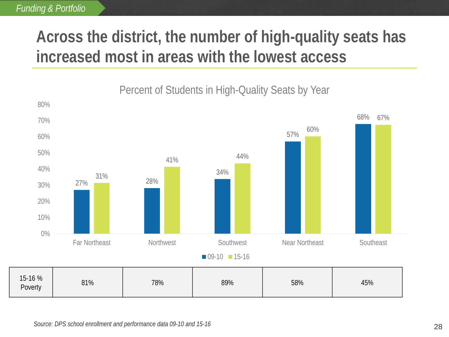### **Across the district, the number of high-quality seats has increased most in areas with the lowest access**

#### 27% 28% 34% 57% 68% 31% 41% 44% 60% 67% 0% 10% 20% 30% 40% 50% 60% 70% 80% Far Northeast **Northwest** Northwest Southwest **Near Northeast** Southeast  $\Box$  09-10  $\Box$  15-16 15-16 % Poverty 81% 78% 89% 58% 45%

Percent of Students in High-Quality Seats by Year

28 *Source: DPS school enrollment and performance data 09-10 and 15-16*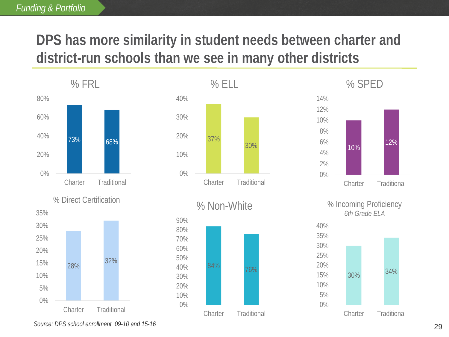#### *Funding & Portfolio*

### **DPS has more similarity in student needs between charter and district-run schools than we see in many other districts**







% Non-White





% Incoming Proficiency *6th Grade ELA*



*Source: DPS school enrollment 09-10 and 15-16*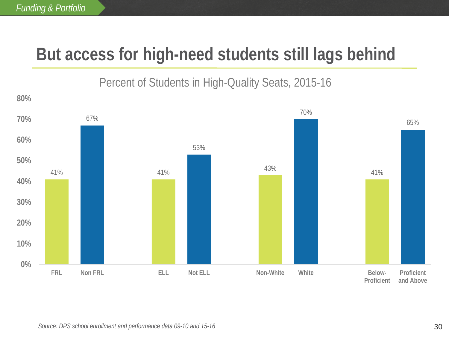# **But access for high-need students still lags behind**

#### Percent of Students in High-Quality Seats, 2015-16

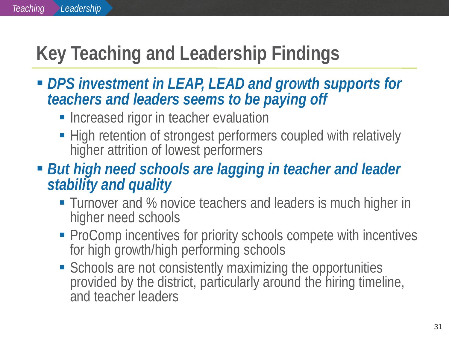# **Key Teaching and Leadership Findings**

- *DPS investment in LEAP, LEAD and growth supports for teachers and leaders seems to be paying off*
	- **Increased rigor in teacher evaluation**
	- High retention of strongest performers coupled with relatively higher attrition of lowest performers
- *But high need schools are lagging in teacher and leader stability and quality*
	- Turnover and % novice teachers and leaders is much higher in higher need schools
	- ProComp incentives for priority schools compete with incentives for high growth/high performing schools
	- **Schools are not consistently maximizing the opportunities** provided by the district, particularly around the hiring timeline, and teacher leaders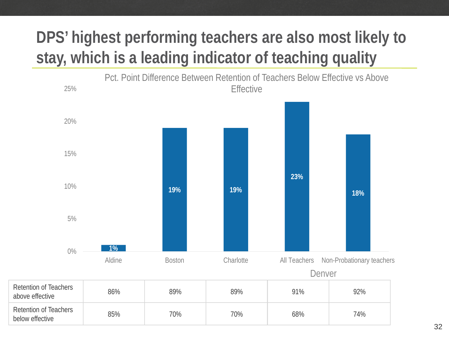## **DPS' highest performing teachers are also most likely to stay, which is a leading indicator of teaching quality**

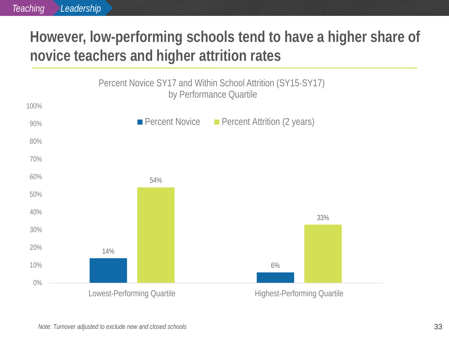### **However, low-performing schools tend to have a higher share of novice teachers and higher attrition rates**

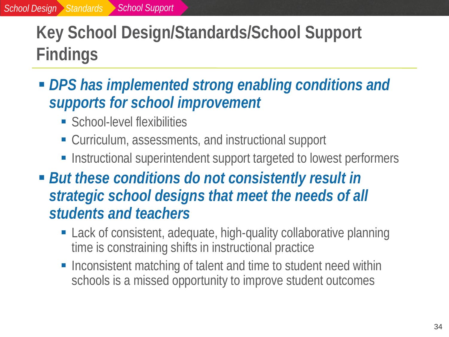# **Key School Design/Standards/School Support Findings**

- *DPS has implemented strong enabling conditions and supports for school improvement*
	- **School-level flexibilities**
	- Curriculum, assessments, and instructional support
	- **-** Instructional superintendent support targeted to lowest performers
- *But these conditions do not consistently result in strategic school designs that meet the needs of all students and teachers*
	- Lack of consistent, adequate, high-quality collaborative planning time is constraining shifts in instructional practice
	- Inconsistent matching of talent and time to student need within schools is a missed opportunity to improve student outcomes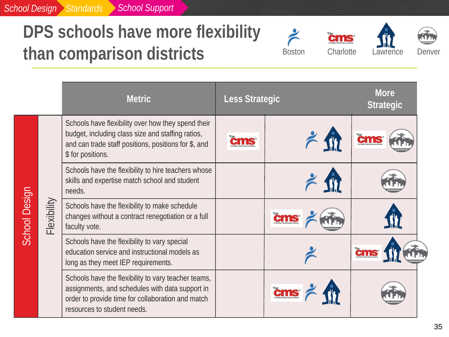#### *School Design Standards School Support*

# **DPS schools have more flexibility than comparison districts**







|                              |                                                                                                                      | <b>Metric</b>                                                                                                                                                                              | Less Strategic |     | <b>More</b><br><b>Strategic</b> |
|------------------------------|----------------------------------------------------------------------------------------------------------------------|--------------------------------------------------------------------------------------------------------------------------------------------------------------------------------------------|----------------|-----|---------------------------------|
| School Design<br>Flexibility |                                                                                                                      | Schools have flexibility over how they spend their<br>budget, including class size and staffing ratios,<br>and can trade staff positions, positions for \$, and<br>\$ for positions.       | ems            | 211 | čms                             |
|                              |                                                                                                                      | Schools have the flexibility to hire teachers whose<br>skills and expertise match school and student<br>needs.                                                                             |                |     |                                 |
|                              | Schools have the flexibility to make schedule<br>changes without a contract renegotiation or a full<br>faculty vote. |                                                                                                                                                                                            |                |     |                                 |
|                              |                                                                                                                      | Schools have the flexibility to vary special<br>education service and instructional models as<br>long as they meet IEP requirements.                                                       |                |     | <b>Cms</b>                      |
|                              |                                                                                                                      | Schools have the flexibility to vary teacher teams,<br>assignments, and schedules with data support in<br>order to provide time for collaboration and match<br>resources to student needs. |                |     |                                 |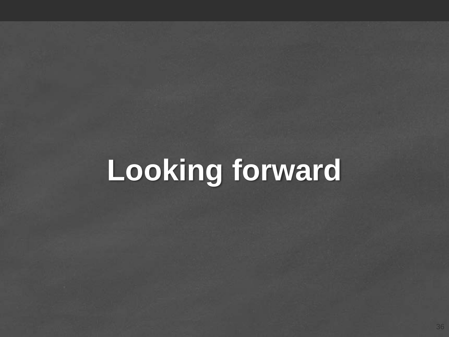# **Looking forward**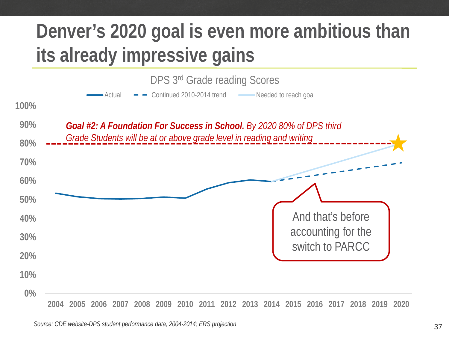# **Denver's 2020 goal is even more ambitious than its already impressive gains**



**2004 2005 2006 2007 2008 2009 2010 2011 2012 2013 2014 2015 2016 2017 2018 2019 2020**

37 *Source: CDE website-DPS student performance data, 2004-2014; ERS projection*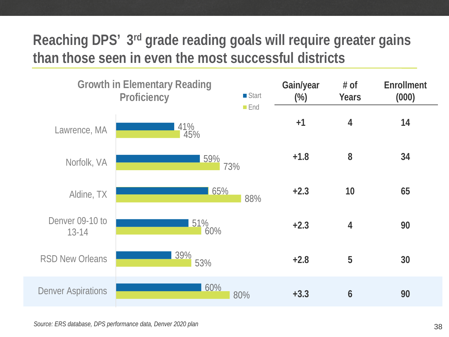### **Reaching DPS' 3rd grade reading goals will require greater gains than those seen in even the most successful districts**



*Source: ERS database, DPS performance data, Denver 2020 plan*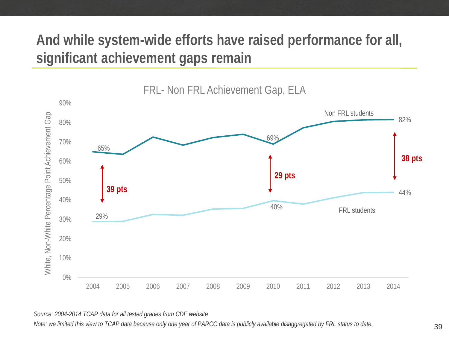### **And while system-wide efforts have raised performance for all, significant achievement gaps remain**



FRL- Non FRL Achievement Gap, ELA

#### *Source: 2004-2014 TCAP data for all tested grades from CDE website*

*Note: we limited this view to TCAP data because only one year of PARCC data is publicly available disaggregated by FRL status to date.*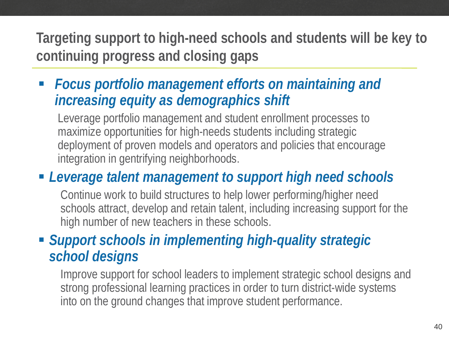**Targeting support to high-need schools and students will be key to continuing progress and closing gaps**

 *Focus portfolio management efforts on maintaining and increasing equity as demographics shift* 

Leverage portfolio management and student enrollment processes to maximize opportunities for high-needs students including strategic deployment of proven models and operators and policies that encourage integration in gentrifying neighborhoods.

### *Leverage talent management to support high need schools*

Continue work to build structures to help lower performing/higher need schools attract, develop and retain talent, including increasing support for the high number of new teachers in these schools.

#### *Support schools in implementing high-quality strategic school designs*

Improve support for school leaders to implement strategic school designs and strong professional learning practices in order to turn district-wide systems into on the ground changes that improve student performance.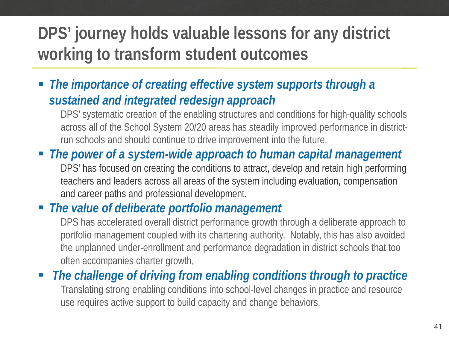## **DPS' journey holds valuable lessons for any district working to transform student outcomes**

 *The importance of creating effective system supports through a sustained and integrated redesign approach*

DPS' systematic creation of the enabling structures and conditions for high-quality schools across all of the School System 20/20 areas has steadily improved performance in districtrun schools and should continue to drive improvement into the future.

 *The power of a system-wide approach to human capital management* DPS' has focused on creating the conditions to attract, develop and retain high performing teachers and leaders across all areas of the system including evaluation, compensation and career paths and professional development.

#### *The value of deliberate portfolio management*

DPS has accelerated overall district performance growth through a deliberate approach to portfolio management coupled with its chartering authority. Notably, this has also avoided the unplanned under-enrollment and performance degradation in district schools that too often accompanies charter growth.

 *The challenge of driving from enabling conditions through to practice*  Translating strong enabling conditions into school-level changes in practice and resource use requires active support to build capacity and change behaviors.